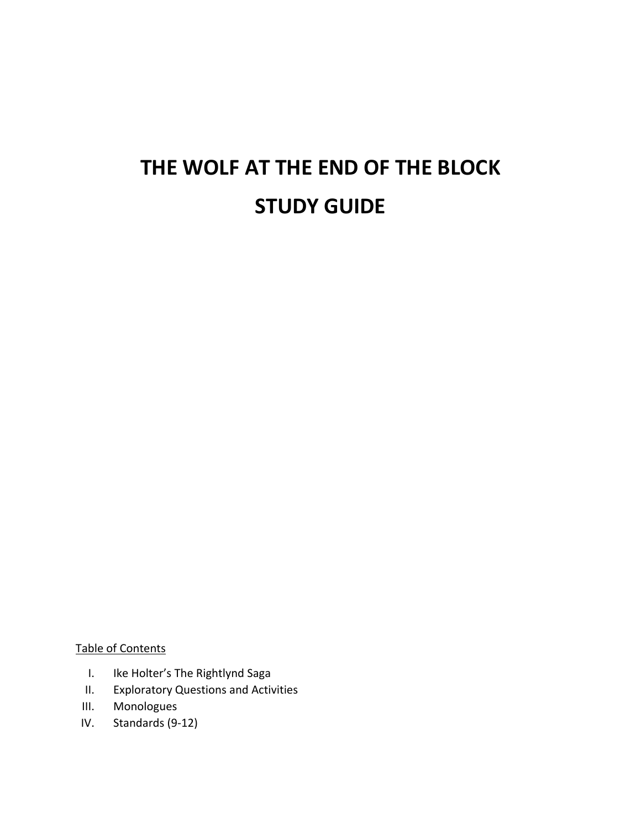# **THE WOLF AT THE END OF THE BLOCK STUDY GUIDE**

Table of Contents

- I. Ike Holter's The Rightlynd Saga
- II. Exploratory Questions and Activities
- III. Monologues
- IV. Standards (9-12)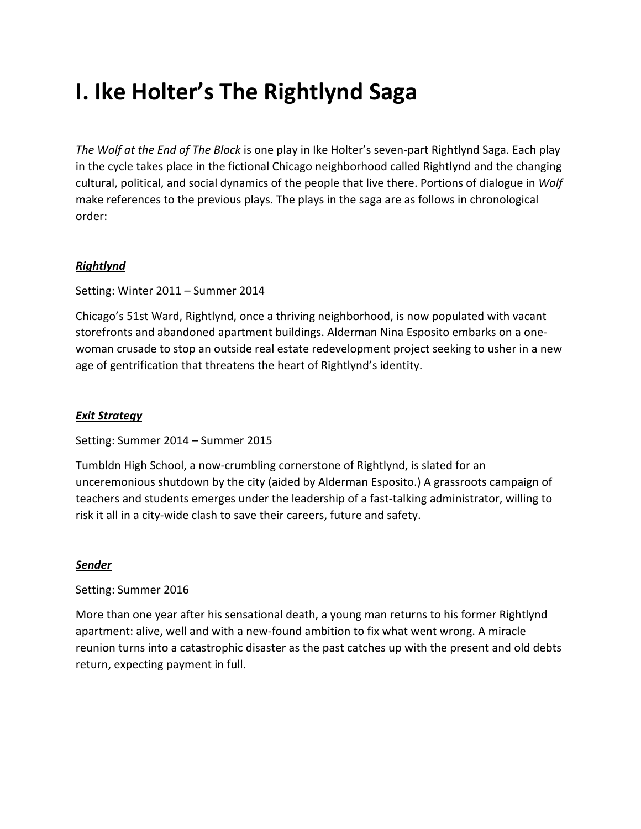# **I. Ike Holter's The Rightlynd Saga**

*The Wolf at the End of The Block* is one play in Ike Holter's seven-part Rightlynd Saga. Each play in the cycle takes place in the fictional Chicago neighborhood called Rightlynd and the changing cultural, political, and social dynamics of the people that live there. Portions of dialogue in *Wolf*  make references to the previous plays. The plays in the saga are as follows in chronological order:

### *Rightlynd*

Setting: Winter 2011 – Summer 2014

Chicago's 51st Ward, Rightlynd, once a thriving neighborhood, is now populated with vacant storefronts and abandoned apartment buildings. Alderman Nina Esposito embarks on a onewoman crusade to stop an outside real estate redevelopment project seeking to usher in a new age of gentrification that threatens the heart of Rightlynd's identity.

### *Exit Strategy*

Setting: Summer 2014 – Summer 2015

Tumbldn High School, a now-crumbling cornerstone of Rightlynd, is slated for an unceremonious shutdown by the city (aided by Alderman Esposito.) A grassroots campaign of teachers and students emerges under the leadership of a fast-talking administrator, willing to risk it all in a city-wide clash to save their careers, future and safety.

### *Sender*

Setting: Summer 2016

More than one year after his sensational death, a young man returns to his former Rightlynd apartment: alive, well and with a new-found ambition to fix what went wrong. A miracle reunion turns into a catastrophic disaster as the past catches up with the present and old debts return, expecting payment in full.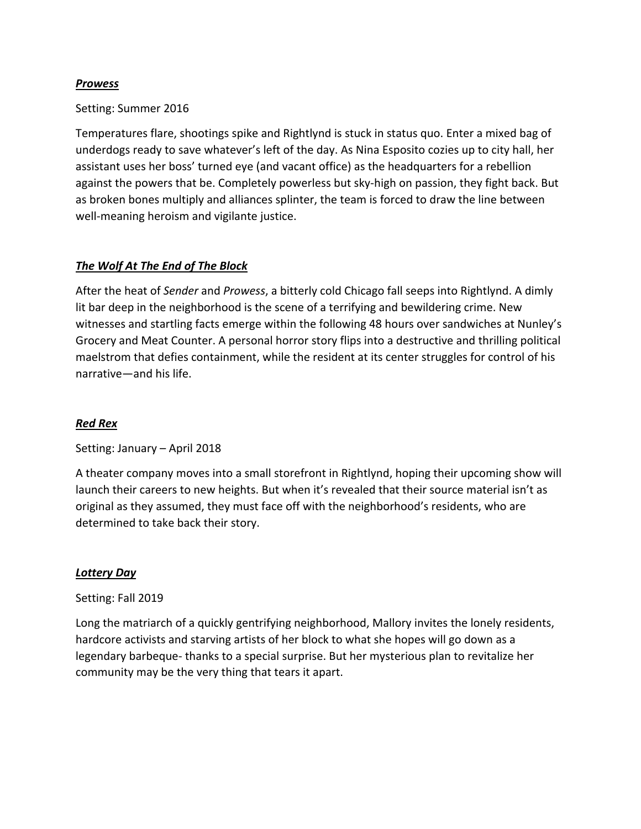#### *Prowess*

#### Setting: Summer 2016

Temperatures flare, shootings spike and Rightlynd is stuck in status quo. Enter a mixed bag of underdogs ready to save whatever's left of the day. As Nina Esposito cozies up to city hall, her assistant uses her boss' turned eye (and vacant office) as the headquarters for a rebellion against the powers that be. Completely powerless but sky-high on passion, they fight back. But as broken bones multiply and alliances splinter, the team is forced to draw the line between well-meaning heroism and vigilante justice.

#### *The Wolf At The End of The Block*

After the heat of *Sender* and *Prowess*, a bitterly cold Chicago fall seeps into Rightlynd. A dimly lit bar deep in the neighborhood is the scene of a terrifying and bewildering crime. New witnesses and startling facts emerge within the following 48 hours over sandwiches at Nunley's Grocery and Meat Counter. A personal horror story flips into a destructive and thrilling political maelstrom that defies containment, while the resident at its center struggles for control of his narrative—and his life.

#### *Red Rex*

Setting: January – April 2018

A theater company moves into a small storefront in Rightlynd, hoping their upcoming show will launch their careers to new heights. But when it's revealed that their source material isn't as original as they assumed, they must face off with the neighborhood's residents, who are determined to take back their story.

#### *Lottery Day*

#### Setting: Fall 2019

Long the matriarch of a quickly gentrifying neighborhood, Mallory invites the lonely residents, hardcore activists and starving artists of her block to what she hopes will go down as a legendary barbeque- thanks to a special surprise. But her mysterious plan to revitalize her community may be the very thing that tears it apart.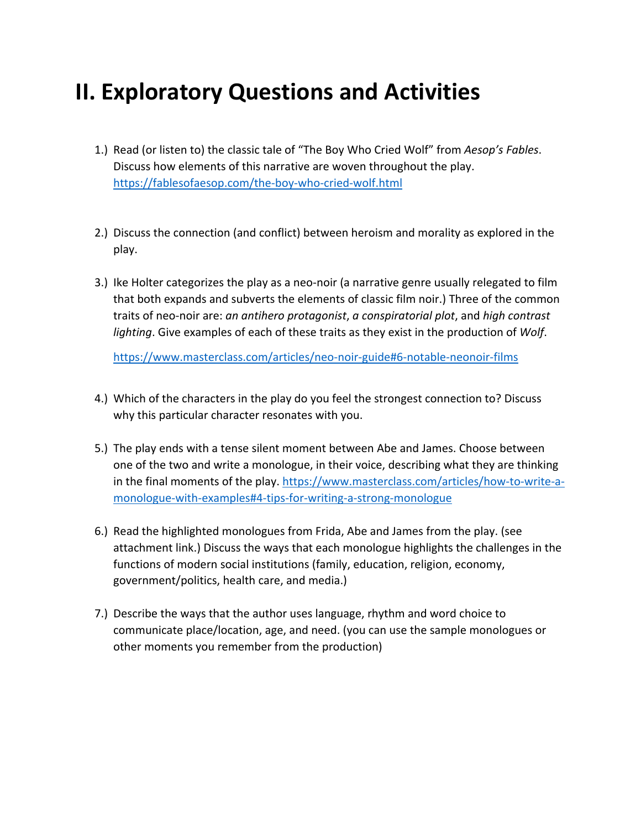## **II. Exploratory Questions and Activities**

- 1.) Read (or listen to) the classic tale of "The Boy Who Cried Wolf" from *Aesop's Fables*. Discuss how elements of this narrative are woven throughout the play. https://fablesofaesop.com/the-boy-who-cried-wolf.html
- 2.) Discuss the connection (and conflict) between heroism and morality as explored in the play.
- 3.) Ike Holter categorizes the play as a neo-noir (a narrative genre usually relegated to film that both expands and subverts the elements of classic film noir.) Three of the common traits of neo-noir are: *an antihero protagonist*, *a conspiratorial plot*, and *high contrast lighting*. Give examples of each of these traits as they exist in the production of *Wolf*.

https://www.masterclass.com/articles/neo-noir-guide#6-notable-neonoir-films

- 4.) Which of the characters in the play do you feel the strongest connection to? Discuss why this particular character resonates with you.
- 5.) The play ends with a tense silent moment between Abe and James. Choose between one of the two and write a monologue, in their voice, describing what they are thinking in the final moments of the play. https://www.masterclass.com/articles/how-to-write-amonologue-with-examples#4-tips-for-writing-a-strong-monologue
- 6.) Read the highlighted monologues from Frida, Abe and James from the play. (see attachment link.) Discuss the ways that each monologue highlights the challenges in the functions of modern social institutions (family, education, religion, economy, government/politics, health care, and media.)
- 7.) Describe the ways that the author uses language, rhythm and word choice to communicate place/location, age, and need. (you can use the sample monologues or other moments you remember from the production)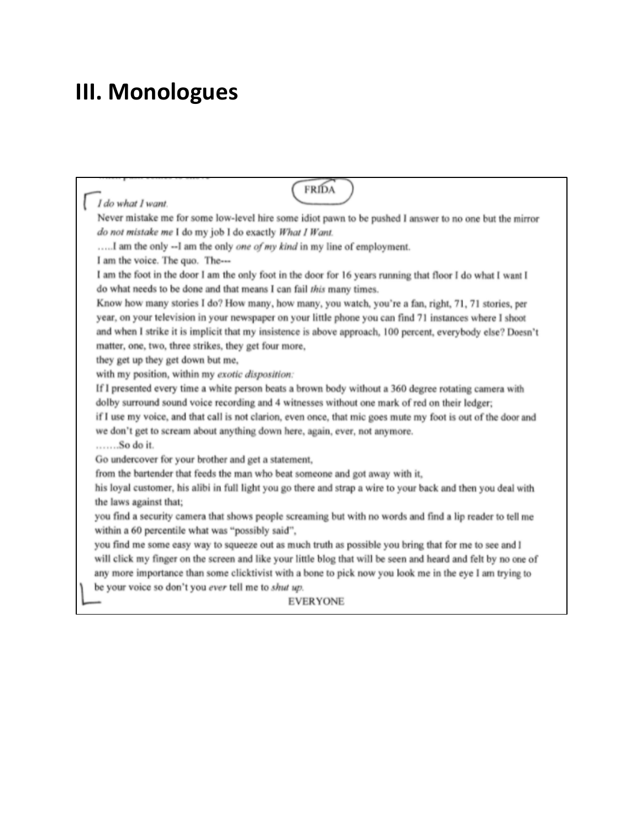### **III. Monologues**

**FRIDA** I do what I want. Never mistake me for some low-level hire some idiot pawn to be pushed I answer to no one but the mirror do not mistake me I do my job I do exactly What I Want. .....I am the only --I am the only one of my kind in my line of employment. I am the voice. The quo. The---I am the foot in the door I am the only foot in the door for 16 years running that floor I do what I want I do what needs to be done and that means I can fail this many times. Know how many stories I do? How many, how many, you watch, you're a fan, right, 71, 71 stories, per year, on your television in your newspaper on your little phone you can find 71 instances where I shoot and when I strike it is implicit that my insistence is above approach, 100 percent, everybody else? Doesn't matter, one, two, three strikes, they get four more, they get up they get down but me, with my position, within my exotic disposition: If I presented every time a white person beats a brown body without a 360 degree rotating camera with dolby surround sound voice recording and 4 witnesses without one mark of red on their ledger; if I use my voice, and that call is not clarion, even once, that mic goes mute my foot is out of the door and we don't get to scream about anything down here, again, ever, not anymore. .......So do it. Go undercover for your brother and get a statement, from the bartender that feeds the man who beat someone and got away with it, his loyal customer, his alibi in full light you go there and strap a wire to your back and then you deal with the laws against that; you find a security camera that shows people screaming but with no words and find a lip reader to tell me within a 60 percentile what was "possibly said", you find me some easy way to squeeze out as much truth as possible you bring that for me to see and I will click my finger on the screen and like your little blog that will be seen and heard and felt by no one of any more importance than some clicktivist with a bone to pick now you look me in the eye I am trying to be your voice so don't you ever tell me to shut up. **EVERYONE**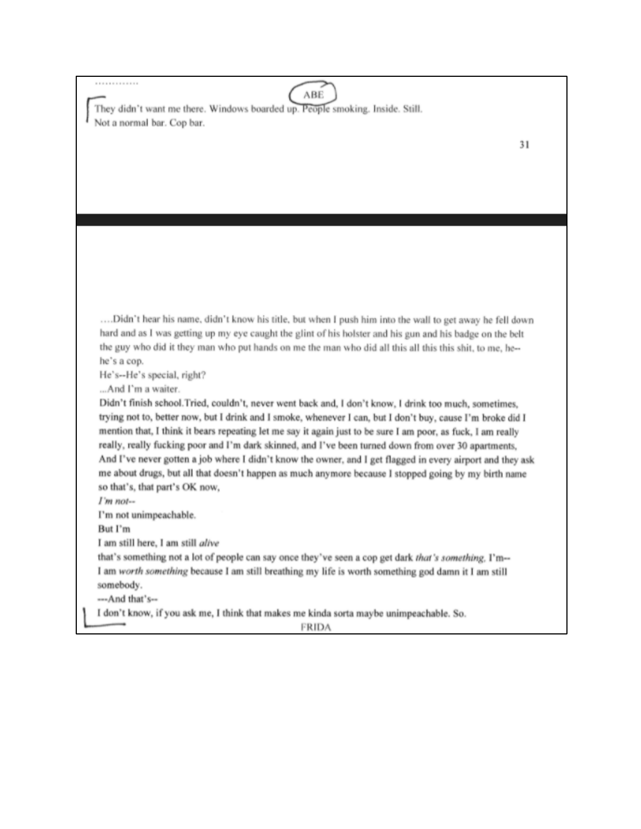They didn't want me there. Windows boarded up. People smoking. Inside. Still. Not a normal bar. Cop bar.

31

....Didn't hear his name, didn't know his title, but when I push him into the wall to get away he fell down hard and as I was getting up my eye caught the glint of his holster and his gun and his badge on the belt the guy who did it they man who put hands on me the man who did all this all this this shit, to me, he-he's a cop.

ABE

He's--He's special, right?

...And I'm a waiter.

Didn't finish school. Tried, couldn't, never went back and, I don't know, I drink too much, sometimes, trying not to, better now, but I drink and I smoke, whenever I can, but I don't buy, cause I'm broke did I mention that, I think it bears repeating let me say it again just to be sure I am poor, as fuck, I am really really, really fucking poor and I'm dark skinned, and I've been turned down from over 30 apartments, And I've never gotten a job where I didn't know the owner, and I get flagged in every airport and they ask me about drugs, but all that doesn't happen as much anymore because I stopped going by my birth name so that's, that part's OK now,

 $Im$  not-

............

I'm not unimpeachable.

But I'm

I am still here, I am still alive

that's something not a lot of people can say once they've seen a cop get dark that's something. I'm--I am worth something because I am still breathing my life is worth something god damn it I am still somebody.

--- And that's--

I don't know, if you ask me, I think that makes me kinda sorta maybe unimpeachable. So.

**FRIDA**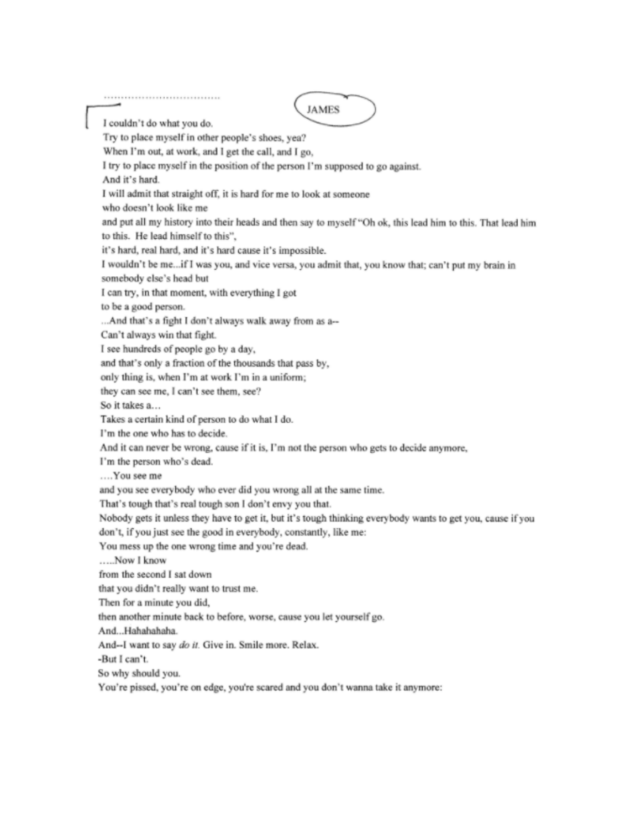\*\*\*\*\*\*\*\*\*\*\*\*\*\*\*\*\*\*\*\*\*\*\*\*\*\*\*\*\*\* **JAMES** I couldn't do what you do. Try to place myself in other people's shoes, yea? When I'm out, at work, and I get the call, and I go, I try to place myself in the position of the person I'm supposed to go against. And it's hard. I will admit that straight off, it is hard for me to look at someone who doesn't look like me and put all my history into their heads and then say to myself "Oh ok, this lead him to this. That lead him to this. He lead himself to this", it's hard, real hard, and it's hard cause it's impossible. I wouldn't be me...if I was you, and vice versa, you admit that, you know that; can't put my brain in somebody else's head but I can try, in that moment, with everything I got to be a good person. ...And that's a fight I don't always walk away from as a--Can't always win that fight. I see hundreds of people go by a day, and that's only a fraction of the thousands that pass by, only thing is, when I'm at work I'm in a uniform; they can see me, I can't see them, see? So it takes a... Takes a certain kind of person to do what I do. I'm the one who has to decide. And it can never be wrong, cause if it is, I'm not the person who gets to decide anymore, I'm the person who's dead. ....You see me and you see everybody who ever did you wrong all at the same time. That's tough that's real tough son I don't envy you that. Nobody gets it unless they have to get it, but it's tough thinking everybody wants to get you, cause if you don't, if you just see the good in everybody, constantly, like me: You mess up the one wrong time and you're dead. .....Now I know from the second I sat down that you didn't really want to trust me. Then for a minute you did, then another minute back to before, worse, cause you let yourself go. And...Hahahahaha. And-I want to say do it. Give in. Smile more. Relax. -But I can't. So why should you. You're pissed, you're on edge, you're scared and you don't wanna take it anymore: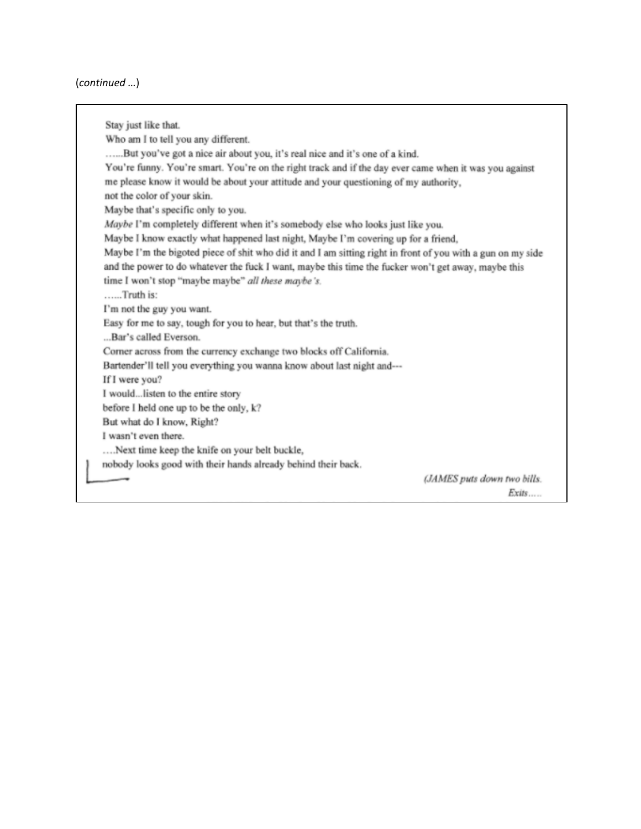#### $(continued \dots)$

Stay just like that. Who am I to tell you any different. ......But you've got a nice air about you, it's real nice and it's one of a kind. You're funny. You're smart. You're on the right track and if the day ever came when it was you against me please know it would be about your attitude and your questioning of my authority, not the color of your skin. Maybe that's specific only to you. Maybe I'm completely different when it's somebody else who looks just like you. Maybe I know exactly what happened last night, Maybe I'm covering up for a friend, Maybe I'm the bigoted piece of shit who did it and I am sitting right in front of you with a gun on my side and the power to do whatever the fuck I want, maybe this time the fucker won't get away, maybe this time I won't stop "maybe maybe" all these maybe's. ......Truth is: I'm not the guy you want. Easy for me to say, tough for you to hear, but that's the truth. ...Bar's called Everson. Corner across from the currency exchange two blocks off California. Bartender'll tell you everything you wanna know about last night and---If I were you? I would...listen to the entire story before I held one up to be the only, k? But what do I know, Right? I wasn't even there. ....Next time keep the knife on your belt buckle, nobody looks good with their hands already behind their back. (JAMES puts down two bills. Exits.....